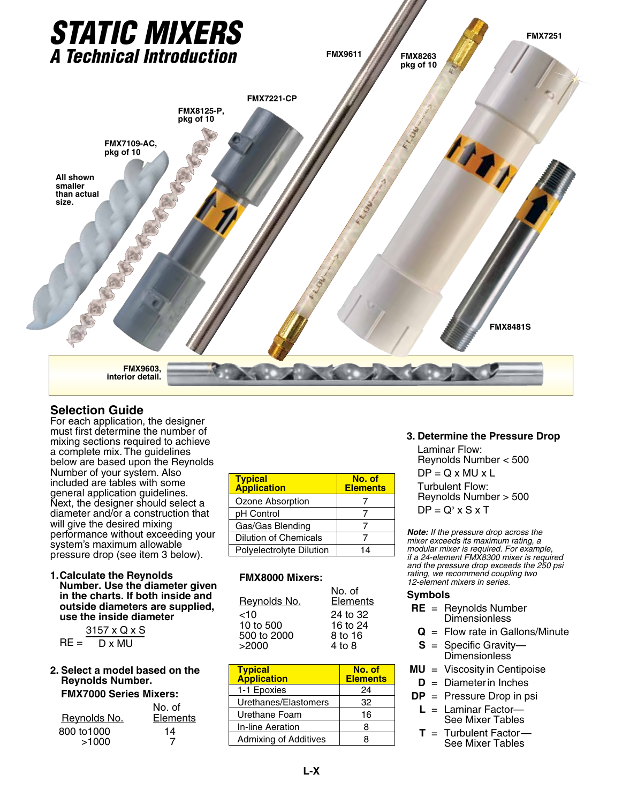

## **Selection Guide**

For each application, the designer must first determine the number of mixing sections required to achieve a complete mix. The guidelines below are based upon the Reynolds Number of your system. Also included are tables with some general application guidelines. Next, the designer should select a diameter and/or a construction that will give the desired mixing performance without exceeding your system's maximum allowable pressure drop (see item 3 below).

#### **1.Calculate the Reynolds Number. Use the diameter given in the charts. If both inside and outside diameters are supplied, use the inside diameter**

|                 | 3157 x Q x S |
|-----------------|--------------|
| $\mathsf{RF} =$ | D x MU       |

#### **2. Select a model based on the Reynolds Number. FMX7000 Series Mixers:**

| Reynolds No.         | No. of<br>Elements |
|----------------------|--------------------|
| 800 to 1000<br>>1000 | 14                 |

| <b>Typical</b><br><b>Application</b> | No. of<br><b>Elements</b> |
|--------------------------------------|---------------------------|
| Ozone Absorption                     |                           |
| pH Control                           |                           |
| Gas/Gas Blending                     |                           |
| Dilution of Chemicals                |                           |
| Polyelectrolyte Dilution             | 14                        |

### **FMX8000 Mixers:**

| 24 to 32<br>~10<br>10 to 500<br>16 to 24<br>500 to 2000<br>8 to 16 | Reynolds No. | No. of<br>Elements |
|--------------------------------------------------------------------|--------------|--------------------|
|                                                                    | >2000        | $4$ to $8$         |

| <b>Typical</b><br><b>Application</b> | No. of<br><b>Elements</b> |
|--------------------------------------|---------------------------|
| 1-1 Epoxies                          | 24                        |
| Urethanes/Elastomers                 | 32                        |
| Urethane Foam                        | 16                        |
| In-line Aeration                     | 8                         |
| <b>Admixing of Additives</b>         | я                         |

## **3. Determine the Pressure Drop**

Laminar Flow: Reynolds Number < 500  $DP = Q \times MU \times L$ Turbulent Flow: Reynolds Number > 500  $DP = Q^2 \times S \times T$ 

*Note: If the pressure drop across the mixer exceeds its maximum rating, a modular mixer is required. For example, if a 24-element FMX8300 mixer is required and the pressure drop exceeds the 250 psi rating, we recommend coupling two 12-element mixers in series.*

#### **Symbols**

|  | $RE = Repnolds Number$ |
|--|------------------------|
|  | <b>Dimensionless</b>   |

- **Q** = Flow rate in Gallons/Minute
- **S** = Specific Gravity— Dimensionless<sup>3</sup>
- **MU** = Viscosity in Centipoise
	- **D** = Diameter in Inches
- **DP** = Pressure Drop in psi
	- **L** = Laminar Factor— See Mixer Tables
	- $T =$  Turbulent Factor-See Mixer Tables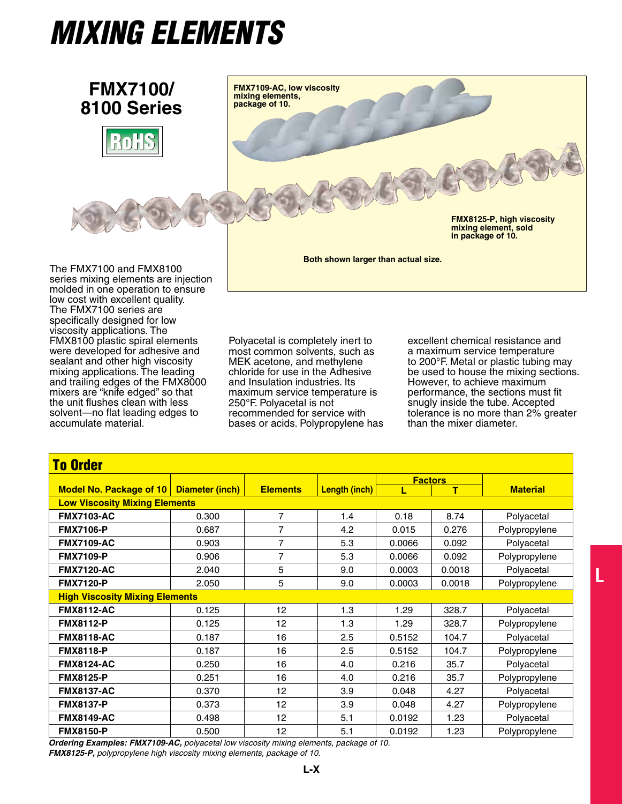# *MIXING ELEMENTS*



**Both shown larger than actual size.**

The FMX7100 and FMX8100 series mixing elements are injection molded in one operation to ensure low cost with excellent quality. The FMX7100 series are specifically designed for low viscosity applications. The FMX8100 plastic spiral elements were developed for adhesive and sealant and other high viscosity mixing applications. The leading and trailing edges of the FMX8000 mixers are "knife edged" so that the unit flushes clean with less solvent—no flat leading edges to accumulate material.

Polyacetal is completely inert to most common solvents, such as MEK acetone, and methylene chloride for use in the Adhesive and Insulation industries. Its maximum service temperature is 250°F. Polyacetal is not recommended for service with bases or acids. Polypropylene has excellent chemical resistance and a maximum service temperature to 200°F. Metal or plastic tubing may be used to house the mixing sections. However, to achieve maximum performance, the sections must fit snugly inside the tube. Accepted tolerance is no more than 2% greater than the mixer diameter.

**L**

| <b>To Order</b>                       |                 |                 |                      |                |        |                 |  |  |
|---------------------------------------|-----------------|-----------------|----------------------|----------------|--------|-----------------|--|--|
|                                       |                 |                 |                      | <b>Factors</b> |        |                 |  |  |
| Model No. Package of 10               | Diameter (inch) | <b>Elements</b> | <b>Length (inch)</b> | Е              | т      | <b>Material</b> |  |  |
| <b>Low Viscosity Mixing Elements</b>  |                 |                 |                      |                |        |                 |  |  |
| <b>FMX7103-AC</b>                     | 0.300           | $\overline{7}$  | 1.4                  | 0.18           | 8.74   | Polyacetal      |  |  |
| <b>FMX7106-P</b>                      | 0.687           | $\overline{7}$  | 4.2                  | 0.015          | 0.276  | Polypropylene   |  |  |
| <b>FMX7109-AC</b>                     | 0.903           | $\overline{7}$  | 5.3                  | 0.0066         | 0.092  | Polyacetal      |  |  |
| <b>FMX7109-P</b>                      | 0.906           | 7               | 5.3                  | 0.0066         | 0.092  | Polypropylene   |  |  |
| <b>FMX7120-AC</b>                     | 2.040           | 5               | 9.0                  | 0.0003         | 0.0018 | Polyacetal      |  |  |
| <b>FMX7120-P</b>                      | 2.050           | 5               | 9.0                  | 0.0003         | 0.0018 | Polypropylene   |  |  |
| <b>High Viscosity Mixing Elements</b> |                 |                 |                      |                |        |                 |  |  |
| <b>FMX8112-AC</b>                     | 0.125           | 12              | 1.3                  | 1.29           | 328.7  | Polyacetal      |  |  |
| <b>FMX8112-P</b>                      | 0.125           | 12              | 1.3                  | 1.29           | 328.7  | Polypropylene   |  |  |
| <b>FMX8118-AC</b>                     | 0.187           | 16              | 2.5                  | 0.5152         | 104.7  | Polyacetal      |  |  |
| <b>FMX8118-P</b>                      | 0.187           | 16              | 2.5                  | 0.5152         | 104.7  | Polypropylene   |  |  |
| <b>FMX8124-AC</b>                     | 0.250           | 16              | 4.0                  | 0.216          | 35.7   | Polyacetal      |  |  |
| <b>FMX8125-P</b>                      | 0.251           | 16              | 4.0                  | 0.216          | 35.7   | Polypropylene   |  |  |
| <b>FMX8137-AC</b>                     | 0.370           | 12              | 3.9                  | 0.048          | 4.27   | Polyacetal      |  |  |
| <b>FMX8137-P</b>                      | 0.373           | 12              | 3.9                  | 0.048          | 4.27   | Polypropylene   |  |  |
| <b>FMX8149-AC</b>                     | 0.498           | 12              | 5.1                  | 0.0192         | 1.23   | Polyacetal      |  |  |
| <b>FMX8150-P</b>                      | 0.500           | 12              | 5.1                  | 0.0192         | 1.23   | Polypropylene   |  |  |

*Ordering Examples: FMX7109-AC, polyacetal low viscosity mixing elements, package of 10. FMX8125-P, polypropylene high viscosity mixing elements, package of 10.*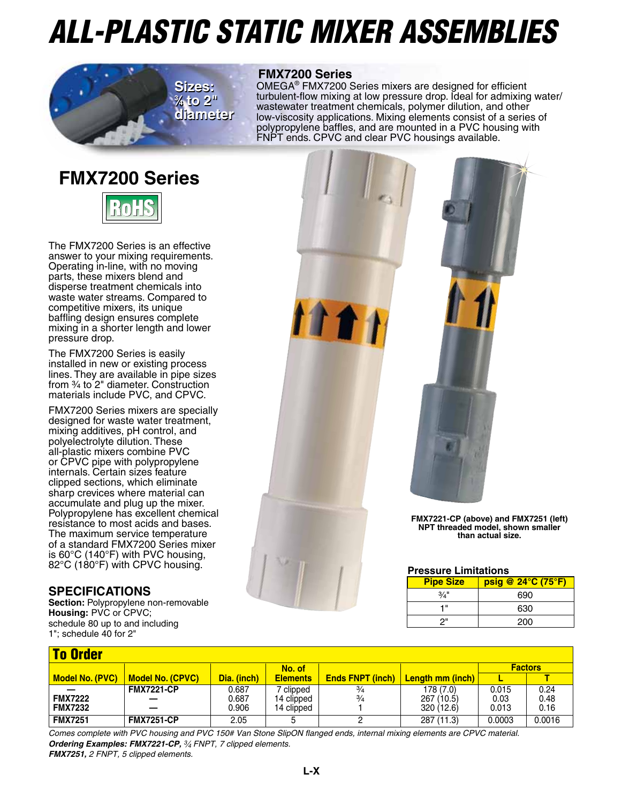# *All-Plastic Static Mixer Assemblies*



## **FMX7200 Series**

OMEGA® FMX7200 Series mixers are designed for efficient turbulent-flow mixing at low pressure drop. Ideal for admixing water/ wastewater treatment chemicals, polymer dilution, and other low-viscosity applications. Mixing elements consist of a series of polypropylene baffles, and are mounted in a PVC housing with FNPT ends. CPVC and clear PVC housings available.

## **FMX7200 Series**



The FMX7200 Series is an effective answer to your mixing requirements. Operating in-line, with no moving parts, these mixers blend and disperse treatment chemicals into waste water streams. Compared to competitive mixers, its unique baffling design ensures complete mixing in a shorter length and lower pressure drop.

The FMX7200 Series is easily installed in new or existing process lines. They are available in pipe sizes from 3/4 to 2" diameter. Construction materials include PVC, and CPVC.

FMX7200 Series mixers are specially designed for waste water treatment, mixing additives, pH control, and polyelectrolyte dilution. These all-plastic mixers combine PVC or CPVC pipe with polypropylene internals. Certain sizes feature clipped sections, which eliminate sharp crevices where material can accumulate and plug up the mixer. Polypropylene has excellent chemical resistance to most acids and bases. The maximum service temperature of a standard FMX7200 Series mixer is 60°C (140°F) with PVC housing, 82°C (180°F) with CPVC housing.

## **Specifications**

**Section: Polypropylene non-removable Housing:** PVC or CPVC; schedule 80 up to and including 1"; schedule 40 for 2"



## **Pressure Limitations**

| <b>Pipe Size</b> | $psiq \ @ \ 24^{\circ}C \ (75^{\circ}F)$ |
|------------------|------------------------------------------|
| 3/4''            | 690                                      |
| 4 "              | 630                                      |
| ጋ"               | 200                                      |

| <b>To Order</b> |                         |             |                 |                         |                         |        |                |  |
|-----------------|-------------------------|-------------|-----------------|-------------------------|-------------------------|--------|----------------|--|
|                 |                         |             | No. of          |                         |                         |        | <b>Factors</b> |  |
| Model No. (PVC) | <b>Model No. (CPVC)</b> | Dia. (inch) | <b>Elements</b> | <b>Ends FNPT (inch)</b> | <b>Length mm (inch)</b> |        |                |  |
|                 | <b>FMX7221-CP</b>       | 0.687       | 7 clipped       | $\frac{3}{4}$           | 178 (7.0)               | 0.015  | 0.24           |  |
| <b>FMX7222</b>  |                         | 0.687       | 14 clipped      | $\frac{3}{4}$           | 267 (10.5)              | 0.03   | 0.48           |  |
| <b>FMX7232</b>  |                         | 0.906       | 14 clipped      |                         | 320(12.6)               | 0.013  | 0.16           |  |
| <b>FMX7251</b>  | <b>FMX7251-CP</b>       | 2.05        |                 |                         | 287 (11.3)              | 0.0003 | 0.0016         |  |

*Comes complete with PVC housing and PVC 150# Van Stone SlipON flanged ends, internal mixing elements are CPVC material. Ordering Examples: FMX7221-CP, 3⁄4 FNPT, 7 clipped elements. FMX7251, 2 FNPT, 5 clipped elements.*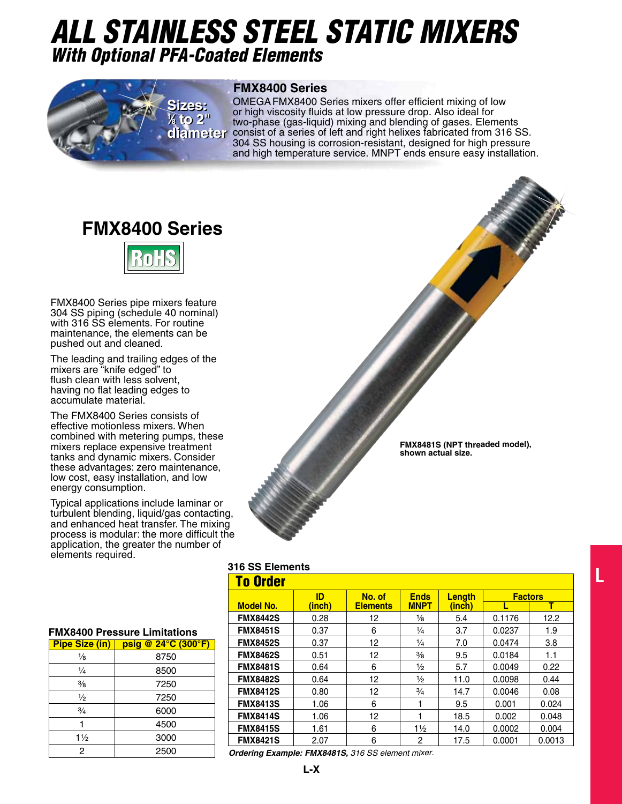## *All Stainless Steel Static Mixers With Optional PFA-Coated Elements*



### **FMX8400 Series**

OMEGAFMX8400 Series mixers offer efficient mixing of low or high viscosity fluids at low pressure drop. Also ideal for two-phase (gas-liquid) mixing and blending of gases. Elements **diameter** consist of a series of left and right helixes fabricated from 316 SS. 304 SS housing is corrosion-resistant, designed for high pressure and high temperature service. MNPT ends ensure easy installation.

## **FMX8400 Series**



FMX8400 Series pipe mixers feature 304 SS piping (schedule 40 nominal) with 316 SS elements. For routine maintenance, the elements can be pushed out and cleaned.

The leading and trailing edges of the mixers are "knife edged" to flush clean with less solvent, having no flat leading edges to accumulate material.

The FMX8400 Series consists of effective motionless mixers. When combined with metering pumps, these mixers replace expensive treatment tanks and dynamic mixers. Consider these advantages: zero maintenance, low cost, easy installation, and low energy consumption.

Typical applications include laminar or turbulent blending, liquid/gas contacting, and enhanced heat transfer. The mixing process is modular: the more difficult the application, the greater the number of elements required.



## **316 SS Elements**

| <b>To Order</b>  |        |                 |                |        |                |        |  |
|------------------|--------|-----------------|----------------|--------|----------------|--------|--|
|                  | ID     | No. of          | <b>Ends</b>    | Length | <b>Factors</b> |        |  |
| <b>Model No.</b> | (inch) | <b>Elements</b> | <b>MNPT</b>    | (inch) |                | т      |  |
| <b>FMX8442S</b>  | 0.28   | 12              | $\frac{1}{8}$  | 5.4    | 0.1176         | 12.2   |  |
| <b>FMX8451S</b>  | 0.37   | 6               | $\frac{1}{4}$  | 3.7    | 0.0237         | 1.9    |  |
| <b>FMX8452S</b>  | 0.37   | 12              | $\frac{1}{4}$  | 7.0    | 0.0474         | 3.8    |  |
| <b>FMX8462S</b>  | 0.51   | 12              | $\frac{3}{8}$  | 9.5    | 0.0184         | 1.1    |  |
| <b>FMX8481S</b>  | 0.64   | 6               | $\frac{1}{2}$  | 5.7    | 0.0049         | 0.22   |  |
| <b>FMX8482S</b>  | 0.64   | 12              | $\frac{1}{2}$  | 11.0   | 0.0098         | 0.44   |  |
| <b>FMX8412S</b>  | 0.80   | 12              | $\frac{3}{4}$  | 14.7   | 0.0046         | 0.08   |  |
| <b>FMX8413S</b>  | 1.06   | 6               |                | 9.5    | 0.001          | 0.024  |  |
| <b>FMX8414S</b>  | 1.06   | 12              |                | 18.5   | 0.002          | 0.048  |  |
| <b>FMX8415S</b>  | 1.61   | 6               | $1\frac{1}{2}$ | 14.0   | 0.0002         | 0.004  |  |
| <b>FMX8421S</b>  | 2.07   | 6               | 2              | 17.5   | 0.0001         | 0.0013 |  |

**L**

*Ordering Example: FMX8481S, 316 SS element mixer.*

#### **FMX8400 Pressure Limitations**

| <b>Pipe Size (in)</b> | psig @ 24°C (300°F) |
|-----------------------|---------------------|
| $\frac{1}{8}$         | 8750                |
| $\frac{1}{4}$         | 8500                |
| $\frac{3}{8}$         | 7250                |
| $\frac{1}{2}$         | 7250                |
| $\frac{3}{4}$         | 6000                |
|                       | 4500                |
| $1\frac{1}{2}$        | 3000                |
| 2                     | 2500                |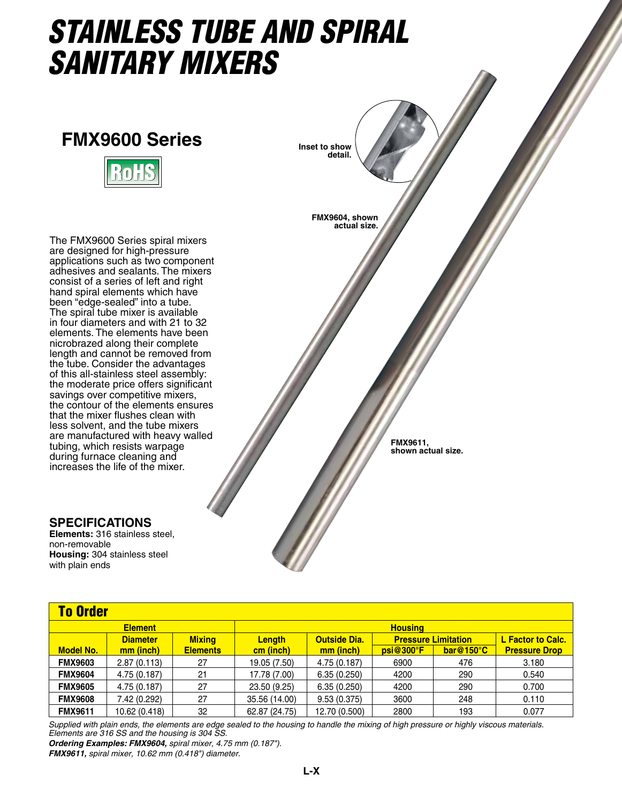## *Stainless tube and Spiral Sanitary Mixers*

## **FMX9600 Series**



The FMX9600 Series spiral mixers are designed for high-pressure applications such as two component adhesives and sealants. The mixers consist of a series of left and right hand spiral elements which have been "edge-sealed" into a tube. The spiral tube mixer is available in four diameters and with 21 to 32 elements. The elements have been nicrobrazed along their complete length and cannot be removed from the tube. Consider the advantages of this all-stainless steel assembly: the moderate price offers significant savings over competitive mixers, the contour of the elements ensures that the mixer flushes clean with less solvent, and the tube mixers are manufactured with heavy walled tubing, which resists warpage during furnace cleaning and increases the life of the mixer.

## **Specifications**

**Elements:** 316 stainless steel, non-removable **Housing:** 304 stainless steel with plain ends

| <b>To Order</b>  |                                  |                 |               |                     |           |                            |                      |  |
|------------------|----------------------------------|-----------------|---------------|---------------------|-----------|----------------------------|----------------------|--|
|                  | <b>Element</b><br><b>Housing</b> |                 |               |                     |           |                            |                      |  |
|                  | <b>Diameter</b>                  | <b>Mixing</b>   | <b>Length</b> | <b>Outside Dia.</b> |           | <b>Pressure Limitation</b> | L Factor to Calc.    |  |
| <b>Model No.</b> | mm (inch)                        | <b>Elements</b> | cm (inch)     | mm (inch)           | psi@300°F | $bar@150^{\circ}C$         | <b>Pressure Drop</b> |  |
| <b>FMX9603</b>   | 2.87(0.113)                      | 27              | 19.05 (7.50)  | 4.75 (0.187)        | 6900      | 476                        | 3.180                |  |
| <b>FMX9604</b>   | 4.75 (0.187)                     | 21              | 17.78 (7.00)  | 6.35(0.250)         | 4200      | 290                        | 0.540                |  |
| <b>FMX9605</b>   | 4.75 (0.187)                     | 27              | 23.50 (9.25)  | 6.35(0.250)         | 4200      | 290                        | 0.700                |  |
| <b>FMX9608</b>   | 7.42 (0.292)                     | 27              | 35.56 (14.00) | 9.53(0.375)         | 3600      | 248                        | 0.110                |  |
| <b>FMX9611</b>   | 10.62 (0.418)                    | 32              | 62.87 (24.75) | 12.70 (0.500)       | 2800      | 193                        | 0.077                |  |

**FMX9604, shown actual size.**

**Inset to show detail.**

> **FMX9611, shown actual size.**

*Supplied with plain ends, the elements are edge sealed to the housing to handle the mixing of high pressure or highly viscous materials. Elements are 316 SS and the housing is 304 SS.*

*Ordering Examples: FMX9604, spiral mixer, 4.75 mm (0.187")*. *FMX9611, spiral mixer, 10.62 mm (0.418") diameter.*